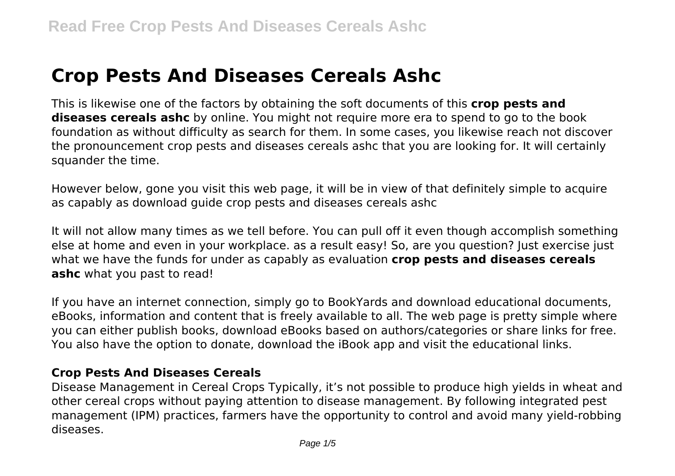# **Crop Pests And Diseases Cereals Ashc**

This is likewise one of the factors by obtaining the soft documents of this **crop pests and diseases cereals ashc** by online. You might not require more era to spend to go to the book foundation as without difficulty as search for them. In some cases, you likewise reach not discover the pronouncement crop pests and diseases cereals ashc that you are looking for. It will certainly squander the time.

However below, gone you visit this web page, it will be in view of that definitely simple to acquire as capably as download guide crop pests and diseases cereals ashc

It will not allow many times as we tell before. You can pull off it even though accomplish something else at home and even in your workplace. as a result easy! So, are you question? Just exercise just what we have the funds for under as capably as evaluation **crop pests and diseases cereals ashc** what you past to read!

If you have an internet connection, simply go to BookYards and download educational documents, eBooks, information and content that is freely available to all. The web page is pretty simple where you can either publish books, download eBooks based on authors/categories or share links for free. You also have the option to donate, download the iBook app and visit the educational links.

#### **Crop Pests And Diseases Cereals**

Disease Management in Cereal Crops Typically, it's not possible to produce high yields in wheat and other cereal crops without paying attention to disease management. By following integrated pest management (IPM) practices, farmers have the opportunity to control and avoid many yield-robbing diseases.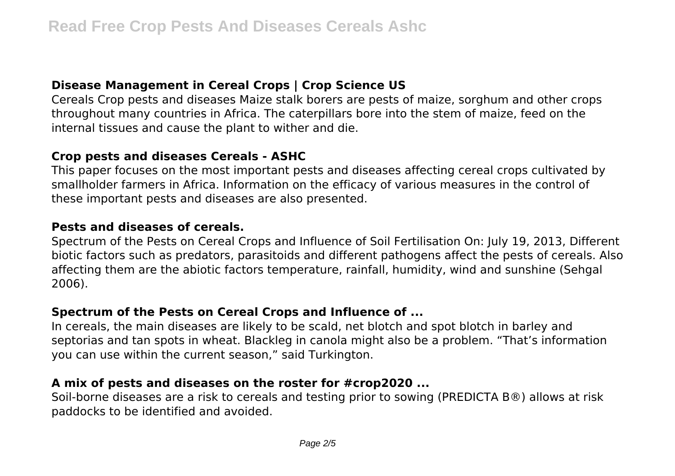## **Disease Management in Cereal Crops | Crop Science US**

Cereals Crop pests and diseases Maize stalk borers are pests of maize, sorghum and other crops throughout many countries in Africa. The caterpillars bore into the stem of maize, feed on the internal tissues and cause the plant to wither and die.

#### **Crop pests and diseases Cereals - ASHC**

This paper focuses on the most important pests and diseases affecting cereal crops cultivated by smallholder farmers in Africa. Information on the efficacy of various measures in the control of these important pests and diseases are also presented.

#### **Pests and diseases of cereals.**

Spectrum of the Pests on Cereal Crops and Influence of Soil Fertilisation On: July 19, 2013, Different biotic factors such as predators, parasitoids and different pathogens affect the pests of cereals. Also affecting them are the abiotic factors temperature, rainfall, humidity, wind and sunshine (Sehgal 2006).

## **Spectrum of the Pests on Cereal Crops and Influence of ...**

In cereals, the main diseases are likely to be scald, net blotch and spot blotch in barley and septorias and tan spots in wheat. Blackleg in canola might also be a problem. "That's information you can use within the current season," said Turkington.

## **A mix of pests and diseases on the roster for #crop2020 ...**

Soil-borne diseases are a risk to cereals and testing prior to sowing (PREDICTA B®) allows at risk paddocks to be identified and avoided.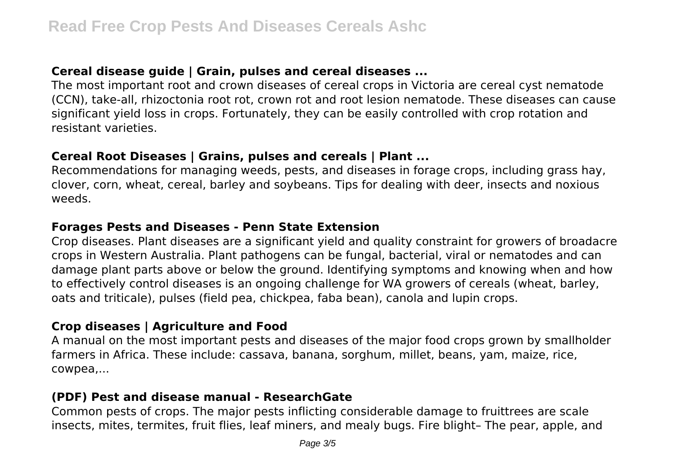## **Cereal disease guide | Grain, pulses and cereal diseases ...**

The most important root and crown diseases of cereal crops in Victoria are cereal cyst nematode (CCN), take-all, rhizoctonia root rot, crown rot and root lesion nematode. These diseases can cause significant yield loss in crops. Fortunately, they can be easily controlled with crop rotation and resistant varieties.

#### **Cereal Root Diseases | Grains, pulses and cereals | Plant ...**

Recommendations for managing weeds, pests, and diseases in forage crops, including grass hay, clover, corn, wheat, cereal, barley and soybeans. Tips for dealing with deer, insects and noxious weeds.

#### **Forages Pests and Diseases - Penn State Extension**

Crop diseases. Plant diseases are a significant yield and quality constraint for growers of broadacre crops in Western Australia. Plant pathogens can be fungal, bacterial, viral or nematodes and can damage plant parts above or below the ground. Identifying symptoms and knowing when and how to effectively control diseases is an ongoing challenge for WA growers of cereals (wheat, barley, oats and triticale), pulses (field pea, chickpea, faba bean), canola and lupin crops.

## **Crop diseases | Agriculture and Food**

A manual on the most important pests and diseases of the major food crops grown by smallholder farmers in Africa. These include: cassava, banana, sorghum, millet, beans, yam, maize, rice, cowpea,...

#### **(PDF) Pest and disease manual - ResearchGate**

Common pests of crops. The major pests inflicting considerable damage to fruittrees are scale insects, mites, termites, fruit flies, leaf miners, and mealy bugs. Fire blight– The pear, apple, and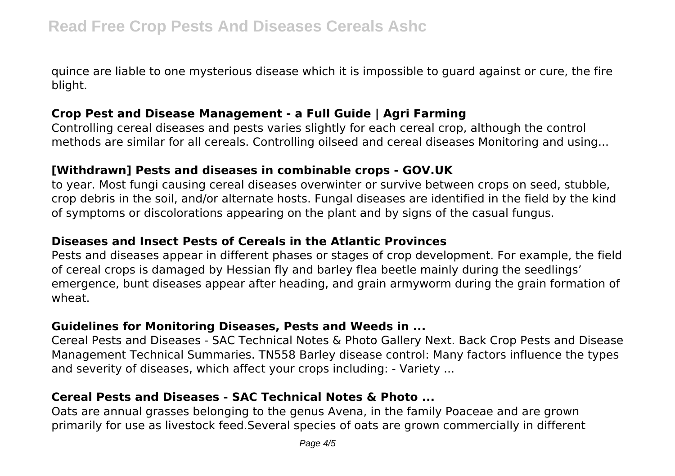quince are liable to one mysterious disease which it is impossible to guard against or cure, the fire blight.

## **Crop Pest and Disease Management - a Full Guide | Agri Farming**

Controlling cereal diseases and pests varies slightly for each cereal crop, although the control methods are similar for all cereals. Controlling oilseed and cereal diseases Monitoring and using...

#### **[Withdrawn] Pests and diseases in combinable crops - GOV.UK**

to year. Most fungi causing cereal diseases overwinter or survive between crops on seed, stubble, crop debris in the soil, and/or alternate hosts. Fungal diseases are identified in the field by the kind of symptoms or discolorations appearing on the plant and by signs of the casual fungus.

#### **Diseases and Insect Pests of Cereals in the Atlantic Provinces**

Pests and diseases appear in different phases or stages of crop development. For example, the field of cereal crops is damaged by Hessian fly and barley flea beetle mainly during the seedlings' emergence, bunt diseases appear after heading, and grain armyworm during the grain formation of wheat.

#### **Guidelines for Monitoring Diseases, Pests and Weeds in ...**

Cereal Pests and Diseases - SAC Technical Notes & Photo Gallery Next. Back Crop Pests and Disease Management Technical Summaries. TN558 Barley disease control: Many factors influence the types and severity of diseases, which affect your crops including: - Variety ...

## **Cereal Pests and Diseases - SAC Technical Notes & Photo ...**

Oats are annual grasses belonging to the genus Avena, in the family Poaceae and are grown primarily for use as livestock feed.Several species of oats are grown commercially in different